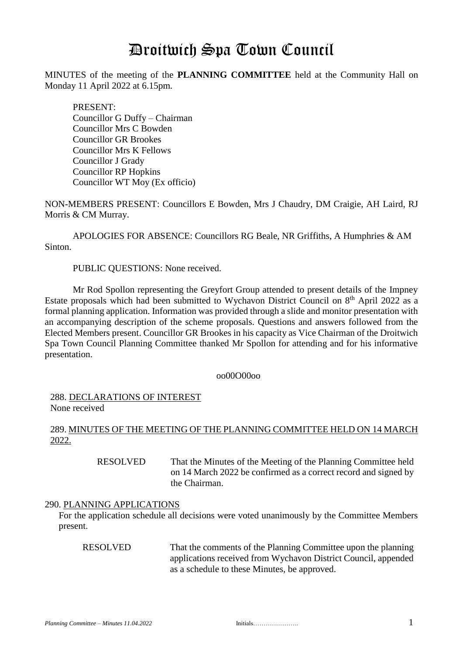# Droitwich Spa Town Council

MINUTES of the meeting of the **PLANNING COMMITTEE** held at the Community Hall on Monday 11 April 2022 at 6.15pm*.*

PRESENT: Councillor G Duffy – Chairman Councillor Mrs C Bowden Councillor GR Brookes Councillor Mrs K Fellows Councillor J Grady Councillor RP Hopkins Councillor WT Moy (Ex officio)

NON-MEMBERS PRESENT: Councillors E Bowden, Mrs J Chaudry, DM Craigie, AH Laird, RJ Morris & CM Murray.

APOLOGIES FOR ABSENCE: Councillors RG Beale, NR Griffiths, A Humphries & AM Sinton.

PUBLIC QUESTIONS: None received.

Mr Rod Spollon representing the Greyfort Group attended to present details of the Impney Estate proposals which had been submitted to Wychavon District Council on  $8<sup>th</sup>$  April 2022 as a formal planning application. Information was provided through a slide and monitor presentation with an accompanying description of the scheme proposals. Questions and answers followed from the Elected Members present. Councillor GR Brookes in his capacity as Vice Chairman of the Droitwich Spa Town Council Planning Committee thanked Mr Spollon for attending and for his informative presentation.

oo00O00oo

288. DECLARATIONS OF INTEREST None received

## 289. MINUTES OF THE MEETING OF THE PLANNING COMMITTEE HELD ON 14 MARCH 2022.

 RESOLVED That the Minutes of the Meeting of the Planning Committee held on 14 March 2022 be confirmed as a correct record and signed by the Chairman.

## 290. PLANNING APPLICATIONS

For the application schedule all decisions were voted unanimously by the Committee Members present.

RESOLVED That the comments of the Planning Committee upon the planning applications received from Wychavon District Council, appended as a schedule to these Minutes, be approved.

| Initials |  |  |  |  |  |  |  |  |  |  |  |
|----------|--|--|--|--|--|--|--|--|--|--|--|
|          |  |  |  |  |  |  |  |  |  |  |  |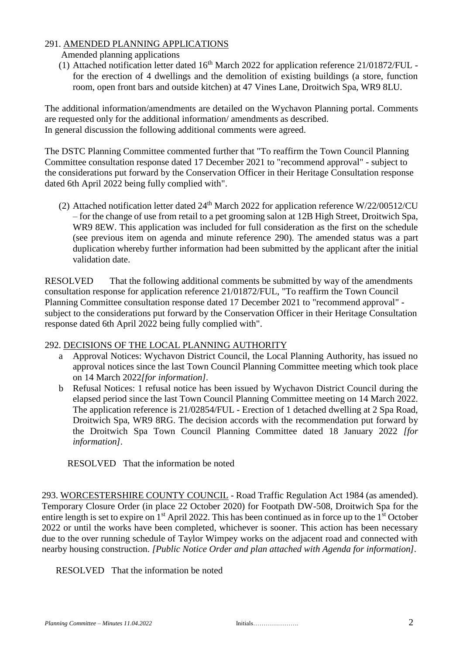## 291. AMENDED PLANNING APPLICATIONS

- Amended planning applications
- (1) Attached notification letter dated  $16<sup>th</sup>$  March 2022 for application reference 21/01872/FUL for the erection of 4 dwellings and the demolition of existing buildings (a store, function room, open front bars and outside kitchen) at 47 Vines Lane, Droitwich Spa, WR9 8LU.

The additional information/amendments are detailed on the Wychavon Planning portal. Comments are requested only for the additional information/ amendments as described. In general discussion the following additional comments were agreed.

The DSTC Planning Committee commented further that "To reaffirm the Town Council Planning Committee consultation response dated 17 December 2021 to "recommend approval" - subject to the considerations put forward by the Conservation Officer in their Heritage Consultation response dated 6th April 2022 being fully complied with".

(2) Attached notification letter dated  $24<sup>th</sup>$  March 2022 for application reference W/22/00512/CU – for the change of use from retail to a pet grooming salon at 12B High Street, Droitwich Spa, WR9 8EW. This application was included for full consideration as the first on the schedule (see previous item on agenda and minute reference 290). The amended status was a part duplication whereby further information had been submitted by the applicant after the initial validation date.

RESOLVED That the following additional comments be submitted by way of the amendments consultation response for application reference 21/01872/FUL, "To reaffirm the Town Council Planning Committee consultation response dated 17 December 2021 to "recommend approval" subject to the considerations put forward by the Conservation Officer in their Heritage Consultation response dated 6th April 2022 being fully complied with".

## 292. DECISIONS OF THE LOCAL PLANNING AUTHORITY

- a Approval Notices: Wychavon District Council, the Local Planning Authority, has issued no approval notices since the last Town Council Planning Committee meeting which took place on 14 March 2022*[for information].*
- b Refusal Notices: 1 refusal notice has been issued by Wychavon District Council during the elapsed period since the last Town Council Planning Committee meeting on 14 March 2022. The application reference is 21/02854/FUL - Erection of 1 detached dwelling at 2 Spa Road, Droitwich Spa, WR9 8RG. The decision accords with the recommendation put forward by the Droitwich Spa Town Council Planning Committee dated 18 January 2022 *[for information].*

RESOLVED That the information be noted

293. WORCESTERSHIRE COUNTY COUNCIL - Road Traffic Regulation Act 1984 (as amended). Temporary Closure Order (in place 22 October 2020) for Footpath DW-508, Droitwich Spa for the entire length is set to expire on  $1<sup>st</sup>$  April 2022. This has been continued as in force up to the  $1<sup>st</sup>$  October 2022 or until the works have been completed, whichever is sooner. This action has been necessary due to the over running schedule of Taylor Wimpey works on the adjacent road and connected with nearby housing construction. *[Public Notice Order and plan attached with Agenda for information].*

RESOLVED That the information be noted

| nitials |  |  |  |  |  |  |  |  |  |  |  |
|---------|--|--|--|--|--|--|--|--|--|--|--|
|         |  |  |  |  |  |  |  |  |  |  |  |